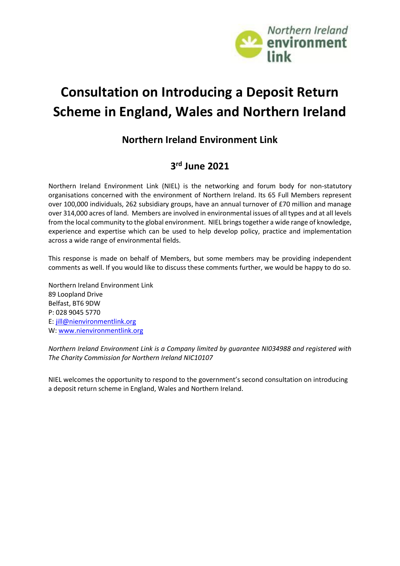

# **Consultation on Introducing a Deposit Return Scheme in England, Wales and Northern Ireland**

### **Northern Ireland Environment Link**

### **3 rd June 2021**

Northern Ireland Environment Link (NIEL) is the networking and forum body for non-statutory organisations concerned with the environment of Northern Ireland. Its 65 Full Members represent over 100,000 individuals, 262 subsidiary groups, have an annual turnover of £70 million and manage over 314,000 acres of land. Members are involved in environmental issues of all types and at all levels from the local community to the global environment. NIEL brings together a wide range of knowledge, experience and expertise which can be used to help develop policy, practice and implementation across a wide range of environmental fields.

This response is made on behalf of Members, but some members may be providing independent comments as well. If you would like to discuss these comments further, we would be happy to do so.

Northern Ireland Environment Link 89 Loopland Drive Belfast, BT6 9DW P: 028 9045 5770 E: [jill@nienvironmentlink.org](mailto:jill@nienvironmentlink.org) W: [www.nienvironmentlink.org](http://www.nienvironmentlink.org/)

*Northern Ireland Environment Link is a Company limited by guarantee NI034988 and registered with The Charity Commission for Northern Ireland NIC10107*

NIEL welcomes the opportunity to respond to the government's second consultation on introducing a deposit return scheme in England, Wales and Northern Ireland.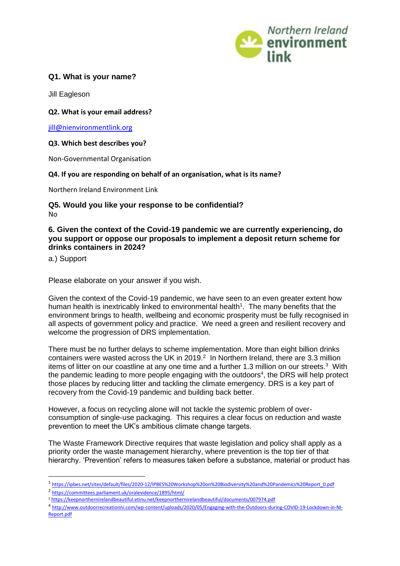

#### **Q1. What is your name?**

Jill Eagleson

#### **Q2. What is your email address?**

[jill@nienvironmentlink.org](mailto:jill@nienvironmentlink.org)

#### **Q3. Which best describes you?**

Non-Governmental Organisation

#### **Q4. If you are responding on behalf of an organisation, what is its name?**

Northern Ireland Environment Link

#### **Q5. Would you like your response to be confidential?**  No

#### **6. Given the context of the Covid-19 pandemic we are currently experiencing, do you support or oppose our proposals to implement a deposit return scheme for drinks containers in 2024?**

a.) Support

Please elaborate on your answer if you wish.

Given the context of the Covid-19 pandemic, we have seen to an even greater extent how human health is inextricably linked to environmental health<sup>1</sup>. The many benefits that the environment brings to health, wellbeing and economic prosperity must be fully recognised in all aspects of government policy and practice. We need a green and resilient recovery and welcome the progression of DRS implementation.

There must be no further delays to scheme implementation. More than eight billion drinks containers were wasted across the UK in 2019. 2 In Northern Ireland, there are 3.3 million items of litter on our coastline at any one time and a further 1.3 million on our streets.<sup>3</sup> With the pandemic leading to more people engaging with the outdoors<sup>4</sup>, the DRS will help protect those places by reducing litter and tackling the climate emergency. DRS is a key part of recovery from the Covid-19 pandemic and building back better.

However, a focus on recycling alone will not tackle the systemic problem of overconsumption of single-use packaging. This requires a clear focus on reduction and waste prevention to meet the UK's ambitious climate change targets.

The Waste Framework Directive requires that waste legislation and policy shall apply as a priority order the waste management hierarchy, where prevention is the top tier of that hierarchy. 'Prevention' refers to measures taken before a substance, material or product has

2 <https://committees.parliament.uk/oralevidence/1895/html/>

4 [http://www.outdoorrecreationni.com/wp-content/uploads/2020/05/Engaging-with-the-Outdoors-during-COVID-19-Lockdown-in-NI-](http://www.outdoorrecreationni.com/wp-content/uploads/2020/05/Engaging-with-the-Outdoors-during-COVID-19-Lockdown-in-NI-Report.pdf)[Report.pdf](http://www.outdoorrecreationni.com/wp-content/uploads/2020/05/Engaging-with-the-Outdoors-during-COVID-19-Lockdown-in-NI-Report.pdf)

<sup>&</sup>lt;sup>1</sup>[https://ipbes.net/sites/default/files/2020-12/IPBES%20Workshop%20on%20Biodiversity%20and%20Pandemics%20Report\\_0.pdf](https://ipbes.net/sites/default/files/2020-12/IPBES%20Workshop%20on%20Biodiversity%20and%20Pandemics%20Report_0.pdf)

<sup>3</sup> <https://keepnorthernirelandbeautiful.etinu.net/keepnorthernirelandbeautiful/documents/007974.pdf>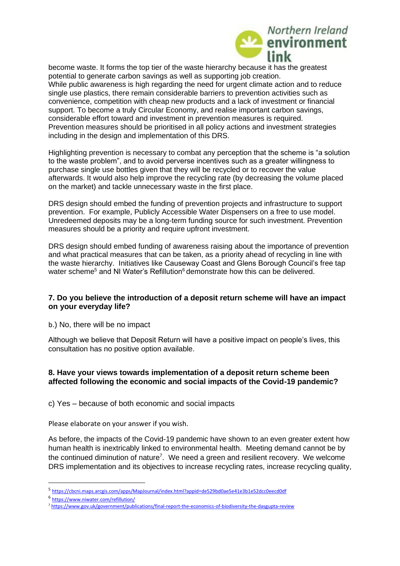

become waste. It forms the top tier of the waste hierarchy because it has the greatest potential to generate carbon savings as well as supporting job creation. While public awareness is high regarding the need for urgent climate action and to reduce single use plastics, there remain considerable barriers to prevention activities such as convenience, competition with cheap new products and a lack of investment or financial support. To become a truly Circular Economy, and realise important carbon savings, considerable effort toward and investment in prevention measures is required. Prevention measures should be prioritised in all policy actions and investment strategies including in the design and implementation of this DRS.

Highlighting prevention is necessary to combat any perception that the scheme is "a solution to the waste problem", and to avoid perverse incentives such as a greater willingness to purchase single use bottles given that they will be recycled or to recover the value afterwards. It would also help improve the recycling rate (by decreasing the volume placed on the market) and tackle unnecessary waste in the first place.

DRS design should embed the funding of prevention projects and infrastructure to support prevention. For example, Publicly Accessible Water Dispensers on a free to use model. Unredeemed deposits may be a long-term funding source for such investment. Prevention measures should be a priority and require upfront investment.

DRS design should embed funding of awareness raising about the importance of prevention and what practical measures that can be taken, as a priority ahead of recycling in line with the waste hierarchy. Initiatives like Causeway Coast and Glens Borough Council's free tap water scheme<sup>5</sup> and NI Water's Refillution<sup>6</sup> demonstrate how this can be delivered.

#### **7. Do you believe the introduction of a deposit return scheme will have an impact on your everyday life?**

b.) No, there will be no impact

Although we believe that Deposit Return will have a positive impact on people's lives, this consultation has no positive option available.

#### **8. Have your views towards implementation of a deposit return scheme been affected following the economic and social impacts of the Covid-19 pandemic?**

c) Yes – because of both economic and social impacts

Please elaborate on your answer if you wish.

As before, the impacts of the Covid-19 pandemic have shown to an even greater extent how human health is inextricably linked to environmental health. Meeting demand cannot be by the continued diminution of nature<sup>7</sup>. We need a green and resilient recovery. We welcome DRS implementation and its objectives to increase recycling rates, increase recycling quality,

<sup>5</sup> <https://cbcni.maps.arcgis.com/apps/MapJournal/index.html?appid=de529bd0ae5e41e3b1e52dcc0eecd0df>

<sup>6</sup> <https://www.niwater.com/refillution/>

<sup>7</sup> <https://www.gov.uk/government/publications/final-report-the-economics-of-biodiversity-the-dasgupta-review>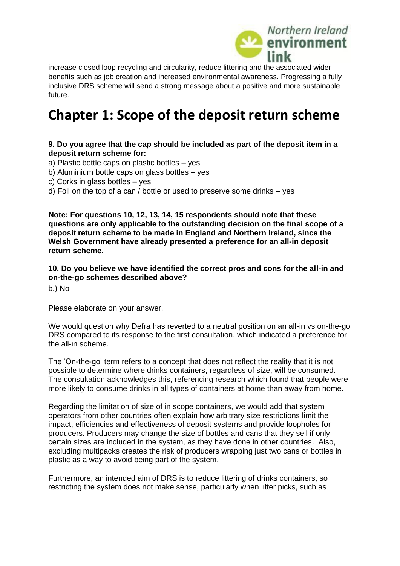

increase closed loop recycling and circularity, reduce littering and the associated wider benefits such as job creation and increased environmental awareness. Progressing a fully inclusive DRS scheme will send a strong message about a positive and more sustainable future.

### **Chapter 1: Scope of the deposit return scheme**

#### **9. Do you agree that the cap should be included as part of the deposit item in a deposit return scheme for:**

a) Plastic bottle caps on plastic bottles – yes

- b) Aluminium bottle caps on glass bottles yes
- c) Corks in glass bottles yes
- d) Foil on the top of a can / bottle or used to preserve some drinks yes

**Note: For questions 10, 12, 13, 14, 15 respondents should note that these questions are only applicable to the outstanding decision on the final scope of a deposit return scheme to be made in England and Northern Ireland, since the Welsh Government have already presented a preference for an all-in deposit return scheme.**

**10. Do you believe we have identified the correct pros and cons for the all-in and on-the-go schemes described above?** 

b.) No

Please elaborate on your answer.

We would question why Defra has reverted to a neutral position on an all-in vs on-the-go DRS compared to its response to the first consultation, which indicated a preference for the all-in scheme.

The 'On-the-go' term refers to a concept that does not reflect the reality that it is not possible to determine where drinks containers, regardless of size, will be consumed. The consultation acknowledges this, referencing research which found that people were more likely to consume drinks in all types of containers at home than away from home.

Regarding the limitation of size of in scope containers, we would add that system operators from other countries often explain how arbitrary size restrictions limit the impact, efficiencies and effectiveness of deposit systems and provide loopholes for producers. Producers may change the size of bottles and cans that they sell if only certain sizes are included in the system, as they have done in other countries. Also, excluding multipacks creates the risk of producers wrapping just two cans or bottles in plastic as a way to avoid being part of the system.

Furthermore, an intended aim of DRS is to reduce littering of drinks containers, so restricting the system does not make sense, particularly when litter picks, such as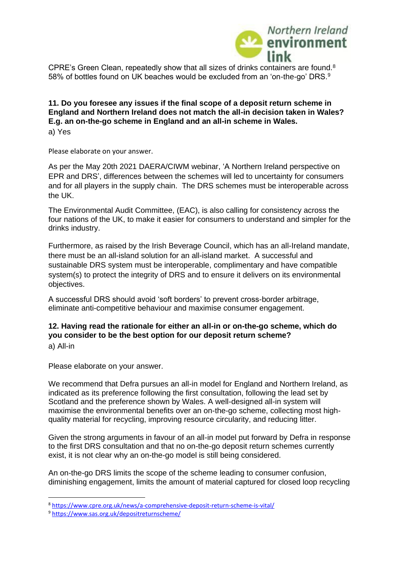

CPRE's Green Clean, repeatedly show that all sizes of drinks containers are found.<sup>8</sup> 58% of bottles found on UK beaches would be excluded from an 'on-the-go' DRS.<sup>9</sup>

**11. Do you foresee any issues if the final scope of a deposit return scheme in England and Northern Ireland does not match the all-in decision taken in Wales? E.g. an on-the-go scheme in England and an all-in scheme in Wales.**  a) Yes

Please elaborate on your answer.

As per the May 20th 2021 DAERA/CIWM webinar, 'A Northern Ireland perspective on EPR and DRS', differences between the schemes will led to uncertainty for consumers and for all players in the supply chain. The DRS schemes must be interoperable across the UK.

The Environmental Audit Committee, (EAC), is also calling for consistency across the four nations of the UK, to make it easier for consumers to understand and simpler for the drinks industry.

Furthermore, as raised by the Irish Beverage Council, which has an all-Ireland mandate, there must be an all-island solution for an all-island market. A successful and sustainable DRS system must be interoperable, complimentary and have compatible system(s) to protect the integrity of DRS and to ensure it delivers on its environmental objectives.

A successful DRS should avoid 'soft borders' to prevent cross-border arbitrage, eliminate anti-competitive behaviour and maximise consumer engagement.

#### **12. Having read the rationale for either an all-in or on-the-go scheme, which do you consider to be the best option for our deposit return scheme?**

a) All-in

Please elaborate on your answer.

We recommend that Defra pursues an all-in model for England and Northern Ireland, as indicated as its preference following the first consultation, following the lead set by Scotland and the preference shown by Wales. A well-designed all-in system will maximise the environmental benefits over an on-the-go scheme, collecting most highquality material for recycling, improving resource circularity, and reducing litter.

Given the strong arguments in favour of an all-in model put forward by Defra in response to the first DRS consultation and that no on-the-go deposit return schemes currently exist, it is not clear why an on-the-go model is still being considered.

An on-the-go DRS limits the scope of the scheme leading to consumer confusion, diminishing engagement, limits the amount of material captured for closed loop recycling

<sup>8</sup> <https://www.cpre.org.uk/news/a-comprehensive-deposit-return-scheme-is-vital/>

<sup>9</sup> <https://www.sas.org.uk/depositreturnscheme/>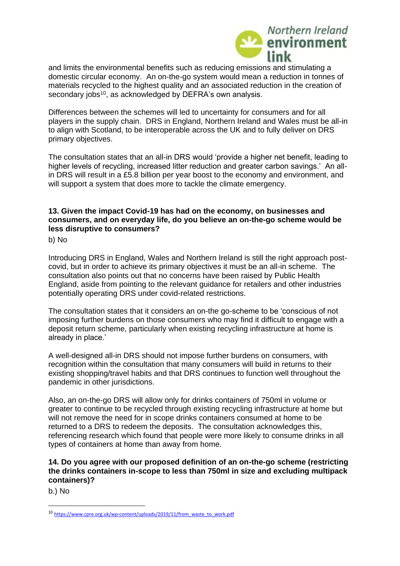

and limits the environmental benefits such as reducing emissions and stimulating a domestic circular economy. An on-the-go system would mean a reduction in tonnes of materials recycled to the highest quality and an associated reduction in the creation of secondary jobs<sup>10</sup>, as acknowledged by DEFRA's own analysis.

Differences between the schemes will led to uncertainty for consumers and for all players in the supply chain. DRS in England, Northern Ireland and Wales must be all-in to align with Scotland, to be interoperable across the UK and to fully deliver on DRS primary objectives.

The consultation states that an all-in DRS would 'provide a higher net benefit, leading to higher levels of recycling, increased litter reduction and greater carbon savings.' An allin DRS will result in a £5.8 billion per year boost to the economy and environment, and will support a system that does more to tackle the climate emergency.

#### **13. Given the impact Covid-19 has had on the economy, on businesses and consumers, and on everyday life, do you believe an on-the-go scheme would be less disruptive to consumers?**

b) No

Introducing DRS in England, Wales and Northern Ireland is still the right approach postcovid, but in order to achieve its primary objectives it must be an all-in scheme. The consultation also points out that no concerns have been raised by Public Health England, aside from pointing to the relevant guidance for retailers and other industries potentially operating DRS under covid-related restrictions.

The consultation states that it considers an on-the go-scheme to be 'conscious of not imposing further burdens on those consumers who may find it difficult to engage with a deposit return scheme, particularly when existing recycling infrastructure at home is already in place.'

A well-designed all-in DRS should not impose further burdens on consumers, with recognition within the consultation that many consumers will build in returns to their existing shopping/travel habits and that DRS continues to function well throughout the pandemic in other jurisdictions.

Also, an on-the-go DRS will allow only for drinks containers of 750ml in volume or greater to continue to be recycled through existing recycling infrastructure at home but will not remove the need for in scope drinks containers consumed at home to be returned to a DRS to redeem the deposits. The consultation acknowledges this, referencing research which found that people were more likely to consume drinks in all types of containers at home than away from home.

#### **14. Do you agree with our proposed definition of an on-the-go scheme (restricting the drinks containers in-scope to less than 750ml in size and excluding multipack containers)?**

b.) No

<sup>10</sup> [https://www.cpre.org.uk/wp-content/uploads/2019/11/from\\_waste\\_to\\_work.pdf](https://www.cpre.org.uk/wp-content/uploads/2019/11/from_waste_to_work.pdf)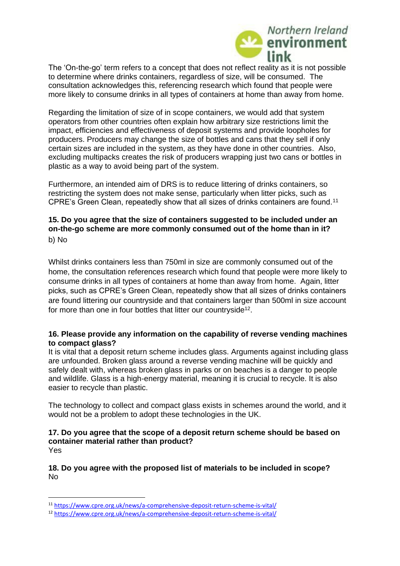

The 'On-the-go' term refers to a concept that does not reflect reality as it is not possible to determine where drinks containers, regardless of size, will be consumed. The consultation acknowledges this, referencing research which found that people were more likely to consume drinks in all types of containers at home than away from home.

Regarding the limitation of size of in scope containers, we would add that system operators from other countries often explain how arbitrary size restrictions limit the impact, efficiencies and effectiveness of deposit systems and provide loopholes for producers. Producers may change the size of bottles and cans that they sell if only certain sizes are included in the system, as they have done in other countries. Also, excluding multipacks creates the risk of producers wrapping just two cans or bottles in plastic as a way to avoid being part of the system.

Furthermore, an intended aim of DRS is to reduce littering of drinks containers, so restricting the system does not make sense, particularly when litter picks, such as CPRE's Green Clean, repeatedly show that all sizes of drinks containers are found.<sup>11</sup>

#### **15. Do you agree that the size of containers suggested to be included under an on-the-go scheme are more commonly consumed out of the home than in it?**  b) No

Whilst drinks containers less than 750ml in size are commonly consumed out of the home, the consultation references research which found that people were more likely to consume drinks in all types of containers at home than away from home. Again, litter picks, such as CPRE's Green Clean, repeatedly show that all sizes of drinks containers are found littering our countryside and that containers larger than 500ml in size account for more than one in four bottles that litter our countryside<sup>12</sup>.

#### **16. Please provide any information on the capability of reverse vending machines to compact glass?**

It is vital that a deposit return scheme includes glass. Arguments against including glass are unfounded. Broken glass around a reverse vending machine will be quickly and safely dealt with, whereas broken glass in parks or on beaches is a danger to people and wildlife. Glass is a high-energy material, meaning it is crucial to recycle. It is also easier to recycle than plastic.

The technology to collect and compact glass exists in schemes around the world, and it would not be a problem to adopt these technologies in the UK.

#### **17. Do you agree that the scope of a deposit return scheme should be based on container material rather than product?**  Yes

**18. Do you agree with the proposed list of materials to be included in scope?**  No

<sup>11</sup> <https://www.cpre.org.uk/news/a-comprehensive-deposit-return-scheme-is-vital/>

<sup>12</sup> <https://www.cpre.org.uk/news/a-comprehensive-deposit-return-scheme-is-vital/>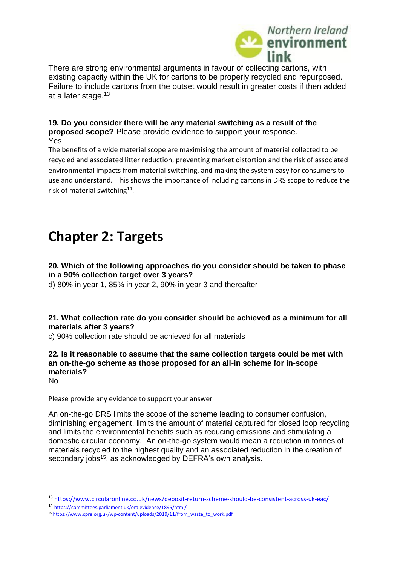

There are strong environmental arguments in favour of collecting cartons, with existing capacity within the UK for cartons to be properly recycled and repurposed. Failure to include cartons from the outset would result in greater costs if then added at a later stage.<sup>13</sup>

#### **19. Do you consider there will be any material switching as a result of the proposed scope?** Please provide evidence to support your response. Yes

The benefits of a wide material scope are maximising the amount of material collected to be recycled and associated litter reduction, preventing market distortion and the risk of associated environmental impacts from material switching, and making the system easy for consumers to use and understand. This shows the importance of including cartons in DRS scope to reduce the risk of material switching<sup>14</sup>.

## **Chapter 2: Targets**

#### **20. Which of the following approaches do you consider should be taken to phase in a 90% collection target over 3 years?**

d) 80% in year 1, 85% in year 2, 90% in year 3 and thereafter

#### **21. What collection rate do you consider should be achieved as a minimum for all materials after 3 years?**

c) 90% collection rate should be achieved for all materials

#### **22. Is it reasonable to assume that the same collection targets could be met with an on-the-go scheme as those proposed for an all-in scheme for in-scope materials?**

No

Please provide any evidence to support your answer

An on-the-go DRS limits the scope of the scheme leading to consumer confusion, diminishing engagement, limits the amount of material captured for closed loop recycling and limits the environmental benefits such as reducing emissions and stimulating a domestic circular economy. An on-the-go system would mean a reduction in tonnes of materials recycled to the highest quality and an associated reduction in the creation of secondary jobs<sup>15</sup>, as acknowledged by DEFRA's own analysis.

<sup>13</sup> <https://www.circularonline.co.uk/news/deposit-return-scheme-should-be-consistent-across-uk-eac/>

<sup>14</sup> <https://committees.parliament.uk/oralevidence/1895/html/>

<sup>15</sup> [https://www.cpre.org.uk/wp-content/uploads/2019/11/from\\_waste\\_to\\_work.pdf](https://www.cpre.org.uk/wp-content/uploads/2019/11/from_waste_to_work.pdf)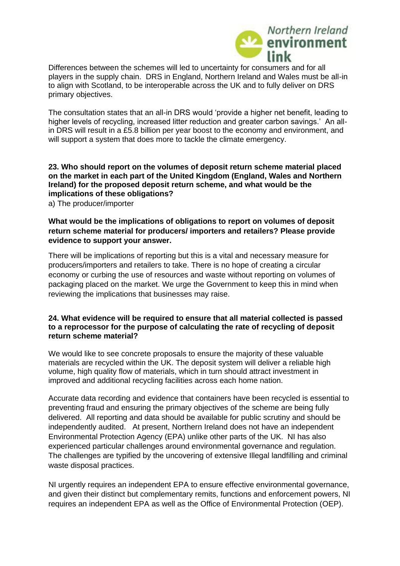

Differences between the schemes will led to uncertainty for consumers and for all players in the supply chain. DRS in England, Northern Ireland and Wales must be all-in to align with Scotland, to be interoperable across the UK and to fully deliver on DRS primary objectives.

The consultation states that an all-in DRS would 'provide a higher net benefit, leading to higher levels of recycling, increased litter reduction and greater carbon savings.' An allin DRS will result in a £5.8 billion per year boost to the economy and environment, and will support a system that does more to tackle the climate emergency.

#### **23. Who should report on the volumes of deposit return scheme material placed on the market in each part of the United Kingdom (England, Wales and Northern Ireland) for the proposed deposit return scheme, and what would be the implications of these obligations?**

a) The producer/importer

#### **What would be the implications of obligations to report on volumes of deposit return scheme material for producers/ importers and retailers? Please provide evidence to support your answer.**

There will be implications of reporting but this is a vital and necessary measure for producers/importers and retailers to take. There is no hope of creating a circular economy or curbing the use of resources and waste without reporting on volumes of packaging placed on the market. We urge the Government to keep this in mind when reviewing the implications that businesses may raise.

#### **24. What evidence will be required to ensure that all material collected is passed to a reprocessor for the purpose of calculating the rate of recycling of deposit return scheme material?**

We would like to see concrete proposals to ensure the majority of these valuable materials are recycled within the UK. The deposit system will deliver a reliable high volume, high quality flow of materials, which in turn should attract investment in improved and additional recycling facilities across each home nation.

Accurate data recording and evidence that containers have been recycled is essential to preventing fraud and ensuring the primary objectives of the scheme are being fully delivered. All reporting and data should be available for public scrutiny and should be independently audited. At present, Northern Ireland does not have an independent Environmental Protection Agency (EPA) unlike other parts of the UK. NI has also experienced particular challenges around environmental governance and regulation. The challenges are typified by the uncovering of extensive Illegal landfilling and criminal waste disposal practices.

NI urgently requires an independent EPA to ensure effective environmental governance, and given their distinct but complementary remits, functions and enforcement powers, NI requires an independent EPA as well as the Office of Environmental Protection (OEP).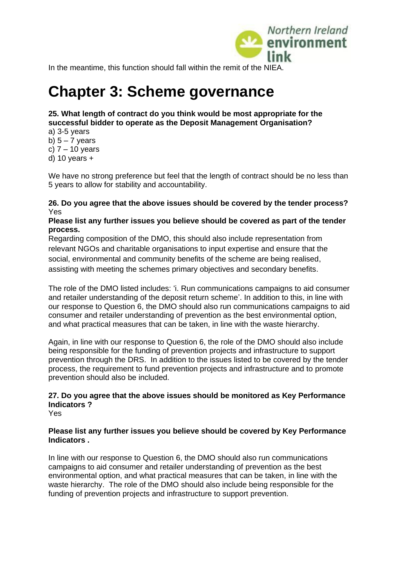

In the meantime, this function should fall within the remit of the NIEA.

# **Chapter 3: Scheme governance**

#### **25. What length of contract do you think would be most appropriate for the successful bidder to operate as the Deposit Management Organisation?**

a) 3-5 years b)  $5 - 7$  years c)  $7 - 10$  years

d) 10 years  $+$ 

We have no strong preference but feel that the length of contract should be no less than 5 years to allow for stability and accountability.

#### **26. Do you agree that the above issues should be covered by the tender process?**  Yes

#### **Please list any further issues you believe should be covered as part of the tender process.**

Regarding composition of the DMO, this should also include representation from relevant NGOs and charitable organisations to input expertise and ensure that the social, environmental and community benefits of the scheme are being realised, assisting with meeting the schemes primary objectives and secondary benefits.

The role of the DMO listed includes: 'i. Run communications campaigns to aid consumer and retailer understanding of the deposit return scheme'. In addition to this, in line with our response to Question 6, the DMO should also run communications campaigns to aid consumer and retailer understanding of prevention as the best environmental option, and what practical measures that can be taken, in line with the waste hierarchy.

Again, in line with our response to Question 6, the role of the DMO should also include being responsible for the funding of prevention projects and infrastructure to support prevention through the DRS. In addition to the issues listed to be covered by the tender process, the requirement to fund prevention projects and infrastructure and to promote prevention should also be included.

### **27. Do you agree that the above issues should be monitored as Key Performance Indicators ?**

Yes

#### **Please list any further issues you believe should be covered by Key Performance Indicators .**

In line with our response to Question 6, the DMO should also run communications campaigns to aid consumer and retailer understanding of prevention as the best environmental option, and what practical measures that can be taken, in line with the waste hierarchy. The role of the DMO should also include being responsible for the funding of prevention projects and infrastructure to support prevention.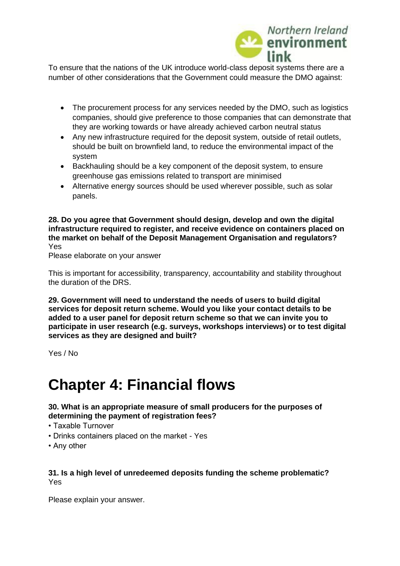

To ensure that the nations of the UK introduce world-class deposit systems there are a number of other considerations that the Government could measure the DMO against:

- The procurement process for any services needed by the DMO, such as logistics companies, should give preference to those companies that can demonstrate that they are working towards or have already achieved carbon neutral status
- Any new infrastructure required for the deposit system, outside of retail outlets, should be built on brownfield land, to reduce the environmental impact of the system
- Backhauling should be a key component of the deposit system, to ensure greenhouse gas emissions related to transport are minimised
- Alternative energy sources should be used wherever possible, such as solar panels.

**28. Do you agree that Government should design, develop and own the digital infrastructure required to register, and receive evidence on containers placed on the market on behalf of the Deposit Management Organisation and regulators?**  Yes

Please elaborate on your answer

This is important for accessibility, transparency, accountability and stability throughout the duration of the DRS.

**29. Government will need to understand the needs of users to build digital services for deposit return scheme. Would you like your contact details to be added to a user panel for deposit return scheme so that we can invite you to participate in user research (e.g. surveys, workshops interviews) or to test digital services as they are designed and built?** 

Yes / No

## **Chapter 4: Financial flows**

#### **30. What is an appropriate measure of small producers for the purposes of determining the payment of registration fees?**

- Taxable Turnover
- Drinks containers placed on the market Yes
- Any other

#### **31. Is a high level of unredeemed deposits funding the scheme problematic?**  Yes

Please explain your answer.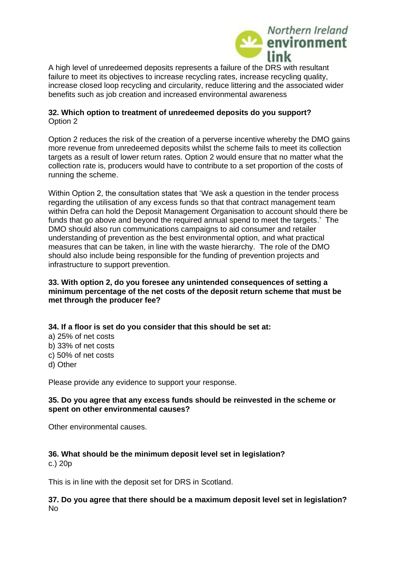

A high level of unredeemed deposits represents a failure of the DRS with resultant failure to meet its objectives to increase recycling rates, increase recycling quality, increase closed loop recycling and circularity, reduce littering and the associated wider benefits such as job creation and increased environmental awareness

#### **32. Which option to treatment of unredeemed deposits do you support?**  Option 2

Option 2 reduces the risk of the creation of a perverse incentive whereby the DMO gains more revenue from unredeemed deposits whilst the scheme fails to meet its collection targets as a result of lower return rates. Option 2 would ensure that no matter what the collection rate is, producers would have to contribute to a set proportion of the costs of running the scheme.

Within Option 2, the consultation states that 'We ask a question in the tender process regarding the utilisation of any excess funds so that that contract management team within Defra can hold the Deposit Management Organisation to account should there be funds that go above and beyond the required annual spend to meet the targets.' The DMO should also run communications campaigns to aid consumer and retailer understanding of prevention as the best environmental option, and what practical measures that can be taken, in line with the waste hierarchy. The role of the DMO should also include being responsible for the funding of prevention projects and infrastructure to support prevention.

#### **33. With option 2, do you foresee any unintended consequences of setting a minimum percentage of the net costs of the deposit return scheme that must be met through the producer fee?**

**34. If a floor is set do you consider that this should be set at:** 

a) 25% of net costs b) 33% of net costs c) 50% of net costs d) Other

Please provide any evidence to support your response.

#### **35. Do you agree that any excess funds should be reinvested in the scheme or spent on other environmental causes?**

Other environmental causes.

#### **36. What should be the minimum deposit level set in legislation?**

c.) 20p

This is in line with the deposit set for DRS in Scotland.

#### **37. Do you agree that there should be a maximum deposit level set in legislation?**  No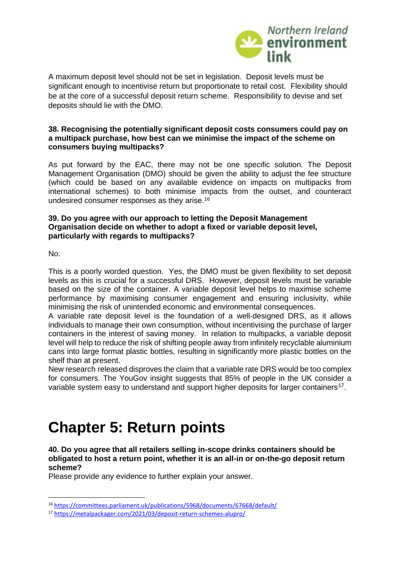

A maximum deposit level should not be set in legislation. Deposit levels must be significant enough to incentivise return but proportionate to retail cost. Flexibility should be at the core of a successful deposit return scheme. Responsibility to devise and set deposits should lie with the DMO.

#### **38. Recognising the potentially significant deposit costs consumers could pay on a multipack purchase, how best can we minimise the impact of the scheme on consumers buying multipacks?**

As put forward by the EAC, there may not be one specific solution. The Deposit Management Organisation (DMO) should be given the ability to adjust the fee structure (which could be based on any available evidence on impacts on multipacks from international schemes) to both minimise impacts from the outset, and counteract undesired consumer responses as they arise.<sup>16</sup>

#### **39. Do you agree with our approach to letting the Deposit Management Organisation decide on whether to adopt a fixed or variable deposit level, particularly with regards to multipacks?**

No.

This is a poorly worded question. Yes, the DMO must be given flexibility to set deposit levels as this is crucial for a successful DRS. However, deposit levels must be variable based on the size of the container. A variable deposit level helps to maximise scheme performance by maximising consumer engagement and ensuring inclusivity, while minimising the risk of unintended economic and environmental consequences.

A variable rate deposit level is the foundation of a well-designed DRS, as it allows individuals to manage their own consumption, without incentivising the purchase of larger containers in the interest of saving money. In relation to multipacks, a variable deposit level will help to reduce the risk of shifting people away from infinitely recyclable aluminium cans into large format plastic bottles, resulting in significantly more plastic bottles on the shelf than at present.

New research released disproves the claim that a variable rate DRS would be too complex for consumers. The YouGov insight suggests that 85% of people in the UK consider a variable system easy to understand and support higher deposits for larger containers<sup>17</sup>.

# **Chapter 5: Return points**

**40. Do you agree that all retailers selling in-scope drinks containers should be obligated to host a return point, whether it is an all-in or on-the-go deposit return scheme?** 

Please provide any evidence to further explain your answer.

<sup>16</sup> <https://committees.parliament.uk/publications/5968/documents/67668/default/>

<sup>17</sup> <https://metalpackager.com/2021/03/deposit-return-schemes-alupro/>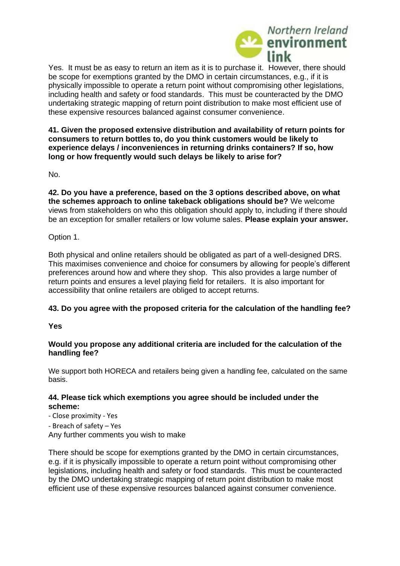

Yes. It must be as easy to return an item as it is to purchase it. However, there should be scope for exemptions granted by the DMO in certain circumstances, e.g., if it is physically impossible to operate a return point without compromising other legislations, including health and safety or food standards. This must be counteracted by the DMO undertaking strategic mapping of return point distribution to make most efficient use of these expensive resources balanced against consumer convenience.

**41. Given the proposed extensive distribution and availability of return points for consumers to return bottles to, do you think customers would be likely to experience delays / inconveniences in returning drinks containers? If so, how long or how frequently would such delays be likely to arise for?** 

No.

**42. Do you have a preference, based on the 3 options described above, on what the schemes approach to online takeback obligations should be?** We welcome views from stakeholders on who this obligation should apply to, including if there should be an exception for smaller retailers or low volume sales. **Please explain your answer.** 

Option 1.

Both physical and online retailers should be obligated as part of a well-designed DRS. This maximises convenience and choice for consumers by allowing for people's different preferences around how and where they shop. This also provides a large number of return points and ensures a level playing field for retailers. It is also important for accessibility that online retailers are obliged to accept returns.

#### **43. Do you agree with the proposed criteria for the calculation of the handling fee?**

**Yes** 

#### **Would you propose any additional criteria are included for the calculation of the handling fee?**

We support both HORECA and retailers being given a handling fee, calculated on the same basis.

#### **44. Please tick which exemptions you agree should be included under the scheme:**

- Close proximity Yes
- Breach of safety Yes

Any further comments you wish to make

There should be scope for exemptions granted by the DMO in certain circumstances, e.g. if it is physically impossible to operate a return point without compromising other legislations, including health and safety or food standards. This must be counteracted by the DMO undertaking strategic mapping of return point distribution to make most efficient use of these expensive resources balanced against consumer convenience.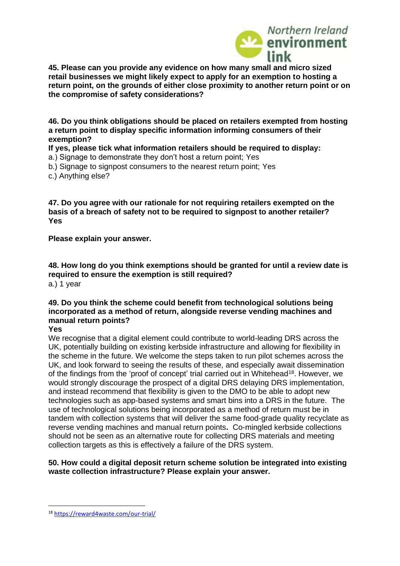

**45. Please can you provide any evidence on how many small and micro sized retail businesses we might likely expect to apply for an exemption to hosting a return point, on the grounds of either close proximity to another return point or on the compromise of safety considerations?** 

**46. Do you think obligations should be placed on retailers exempted from hosting a return point to display specific information informing consumers of their exemption?** 

**If yes, please tick what information retailers should be required to display:** 

a.) Signage to demonstrate they don't host a return point; Yes

b.) Signage to signpost consumers to the nearest return point; Yes

c.) Anything else?

**47. Do you agree with our rationale for not requiring retailers exempted on the basis of a breach of safety not to be required to signpost to another retailer? Yes**

**Please explain your answer.**

**48. How long do you think exemptions should be granted for until a review date is required to ensure the exemption is still required?**  a.) 1 year

#### **49. Do you think the scheme could benefit from technological solutions being incorporated as a method of return, alongside reverse vending machines and manual return points?**

**Yes**

We recognise that a digital element could contribute to world-leading DRS across the UK, potentially building on existing kerbside infrastructure and allowing for flexibility in the scheme in the future. We welcome the steps taken to run pilot schemes across the UK, and look forward to seeing the results of these, and especially await dissemination of the findings from the 'proof of concept' trial carried out in Whitehead<sup>18</sup>. However, we would strongly discourage the prospect of a digital DRS delaying DRS implementation, and instead recommend that flexibility is given to the DMO to be able to adopt new technologies such as app-based systems and smart bins into a DRS in the future. The use of technological solutions being incorporated as a method of return must be in tandem with collection systems that will deliver the same food-grade quality recyclate as reverse vending machines and manual return points**.** Co-mingled kerbside collections should not be seen as an alternative route for collecting DRS materials and meeting collection targets as this is effectively a failure of the DRS system.

#### **50. How could a digital deposit return scheme solution be integrated into existing waste collection infrastructure? Please explain your answer.**

<sup>18</sup> <https://reward4waste.com/our-trial/>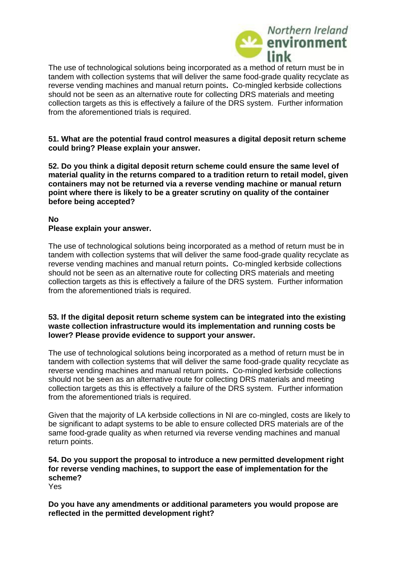

The use of technological solutions being incorporated as a method of return must be in tandem with collection systems that will deliver the same food-grade quality recyclate as reverse vending machines and manual return points**.** Co-mingled kerbside collections should not be seen as an alternative route for collecting DRS materials and meeting collection targets as this is effectively a failure of the DRS system. Further information from the aforementioned trials is required.

**51. What are the potential fraud control measures a digital deposit return scheme could bring? Please explain your answer.** 

**52. Do you think a digital deposit return scheme could ensure the same level of material quality in the returns compared to a tradition return to retail model, given containers may not be returned via a reverse vending machine or manual return point where there is likely to be a greater scrutiny on quality of the container before being accepted?** 

#### **No Please explain your answer.**

The use of technological solutions being incorporated as a method of return must be in tandem with collection systems that will deliver the same food-grade quality recyclate as reverse vending machines and manual return points**.** Co-mingled kerbside collections should not be seen as an alternative route for collecting DRS materials and meeting collection targets as this is effectively a failure of the DRS system. Further information from the aforementioned trials is required.

#### **53. If the digital deposit return scheme system can be integrated into the existing waste collection infrastructure would its implementation and running costs be lower? Please provide evidence to support your answer.**

The use of technological solutions being incorporated as a method of return must be in tandem with collection systems that will deliver the same food-grade quality recyclate as reverse vending machines and manual return points**.** Co-mingled kerbside collections should not be seen as an alternative route for collecting DRS materials and meeting collection targets as this is effectively a failure of the DRS system. Further information from the aforementioned trials is required.

Given that the majority of LA kerbside collections in NI are co-mingled, costs are likely to be significant to adapt systems to be able to ensure collected DRS materials are of the same food-grade quality as when returned via reverse vending machines and manual return points.

#### **54. Do you support the proposal to introduce a new permitted development right for reverse vending machines, to support the ease of implementation for the scheme?**

Yes

**Do you have any amendments or additional parameters you would propose are reflected in the permitted development right?**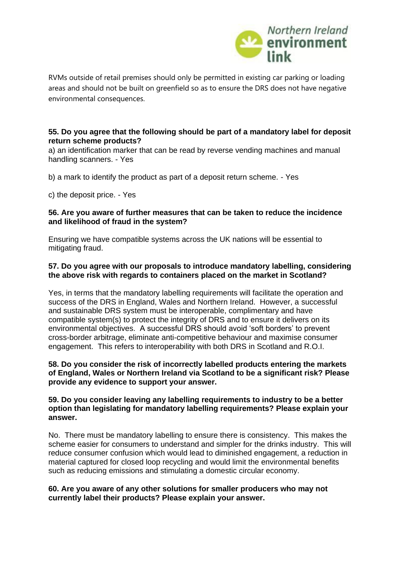

RVMs outside of retail premises should only be permitted in existing car parking or loading areas and should not be built on greenfield so as to ensure the DRS does not have negative environmental consequences.

#### **55. Do you agree that the following should be part of a mandatory label for deposit return scheme products?**

a) an identification marker that can be read by reverse vending machines and manual handling scanners. - Yes

b) a mark to identify the product as part of a deposit return scheme. - Yes

c) the deposit price. - Yes

#### **56. Are you aware of further measures that can be taken to reduce the incidence and likelihood of fraud in the system?**

Ensuring we have compatible systems across the UK nations will be essential to mitigating fraud.

#### **57. Do you agree with our proposals to introduce mandatory labelling, considering the above risk with regards to containers placed on the market in Scotland?**

Yes, in terms that the mandatory labelling requirements will facilitate the operation and success of the DRS in England, Wales and Northern Ireland. However, a successful and sustainable DRS system must be interoperable, complimentary and have compatible system(s) to protect the integrity of DRS and to ensure it delivers on its environmental objectives. A successful DRS should avoid 'soft borders' to prevent cross-border arbitrage, eliminate anti-competitive behaviour and maximise consumer engagement. This refers to interoperability with both DRS in Scotland and R.O.I.

#### **58. Do you consider the risk of incorrectly labelled products entering the markets of England, Wales or Northern Ireland via Scotland to be a significant risk? Please provide any evidence to support your answer.**

#### **59. Do you consider leaving any labelling requirements to industry to be a better option than legislating for mandatory labelling requirements? Please explain your answer.**

No. There must be mandatory labelling to ensure there is consistency. This makes the scheme easier for consumers to understand and simpler for the drinks industry. This will reduce consumer confusion which would lead to diminished engagement, a reduction in material captured for closed loop recycling and would limit the environmental benefits such as reducing emissions and stimulating a domestic circular economy.

#### **60. Are you aware of any other solutions for smaller producers who may not currently label their products? Please explain your answer.**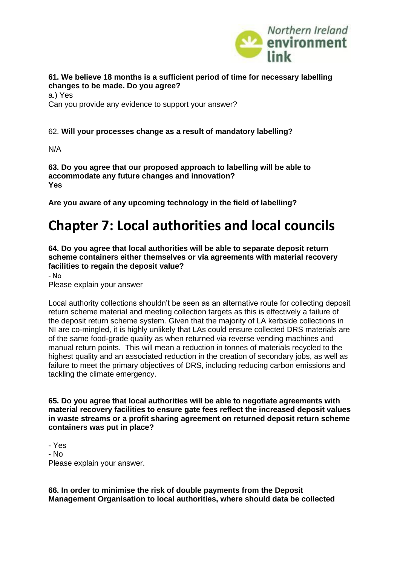

#### **61. We believe 18 months is a sufficient period of time for necessary labelling changes to be made. Do you agree?**

a.) Yes Can you provide any evidence to support your answer?

#### 62. **Will your processes change as a result of mandatory labelling?**

N/A

**63. Do you agree that our proposed approach to labelling will be able to accommodate any future changes and innovation? Yes** 

**Are you aware of any upcoming technology in the field of labelling?**

### **Chapter 7: Local authorities and local councils**

**64. Do you agree that local authorities will be able to separate deposit return scheme containers either themselves or via agreements with material recovery facilities to regain the deposit value?** 

- No Please explain your answer

Local authority collections shouldn't be seen as an alternative route for collecting deposit return scheme material and meeting collection targets as this is effectively a failure of the deposit return scheme system. Given that the majority of LA kerbside collections in NI are co-mingled, it is highly unlikely that LAs could ensure collected DRS materials are of the same food-grade quality as when returned via reverse vending machines and manual return points. This will mean a reduction in tonnes of materials recycled to the highest quality and an associated reduction in the creation of secondary jobs, as well as failure to meet the primary objectives of DRS, including reducing carbon emissions and tackling the climate emergency.

**65. Do you agree that local authorities will be able to negotiate agreements with material recovery facilities to ensure gate fees reflect the increased deposit values in waste streams or a profit sharing agreement on returned deposit return scheme containers was put in place?** 

- Yes - No Please explain your answer.

**66. In order to minimise the risk of double payments from the Deposit Management Organisation to local authorities, where should data be collected**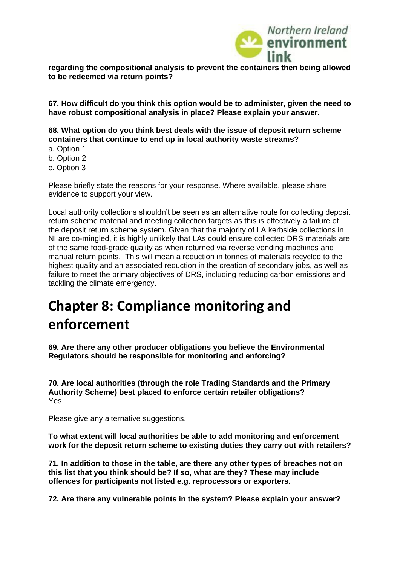

**regarding the compositional analysis to prevent the containers then being allowed to be redeemed via return points?** 

**67. How difficult do you think this option would be to administer, given the need to have robust compositional analysis in place? Please explain your answer.** 

**68. What option do you think best deals with the issue of deposit return scheme containers that continue to end up in local authority waste streams?** 

- a. Option 1
- b. Option 2
- c. Option 3

Please briefly state the reasons for your response. Where available, please share evidence to support your view.

Local authority collections shouldn't be seen as an alternative route for collecting deposit return scheme material and meeting collection targets as this is effectively a failure of the deposit return scheme system. Given that the majority of LA kerbside collections in NI are co-mingled, it is highly unlikely that LAs could ensure collected DRS materials are of the same food-grade quality as when returned via reverse vending machines and manual return points. This will mean a reduction in tonnes of materials recycled to the highest quality and an associated reduction in the creation of secondary jobs, as well as failure to meet the primary objectives of DRS, including reducing carbon emissions and tackling the climate emergency.

### **Chapter 8: Compliance monitoring and enforcement**

**69. Are there any other producer obligations you believe the Environmental Regulators should be responsible for monitoring and enforcing?** 

**70. Are local authorities (through the role Trading Standards and the Primary Authority Scheme) best placed to enforce certain retailer obligations?**  Yes

Please give any alternative suggestions.

**To what extent will local authorities be able to add monitoring and enforcement work for the deposit return scheme to existing duties they carry out with retailers?**

**71. In addition to those in the table, are there any other types of breaches not on this list that you think should be? If so, what are they? These may include offences for participants not listed e.g. reprocessors or exporters.** 

**72. Are there any vulnerable points in the system? Please explain your answer?**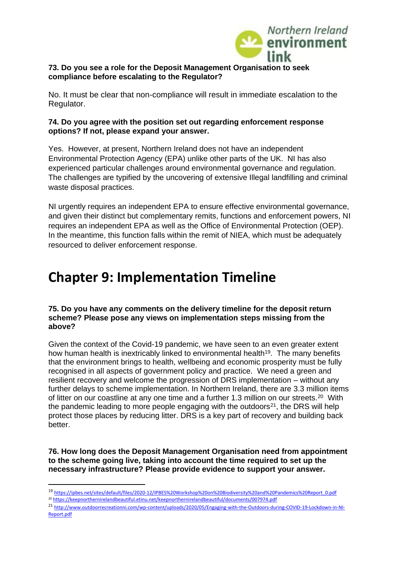

#### **73. Do you see a role for the Deposit Management Organisation to seek compliance before escalating to the Regulator?**

No. It must be clear that non-compliance will result in immediate escalation to the Regulator.

#### **74. Do you agree with the position set out regarding enforcement response options? If not, please expand your answer.**

Yes. However, at present, Northern Ireland does not have an independent Environmental Protection Agency (EPA) unlike other parts of the UK. NI has also experienced particular challenges around environmental governance and regulation. The challenges are typified by the uncovering of extensive Illegal landfilling and criminal waste disposal practices.

NI urgently requires an independent EPA to ensure effective environmental governance, and given their distinct but complementary remits, functions and enforcement powers, NI requires an independent EPA as well as the Office of Environmental Protection (OEP). In the meantime, this function falls within the remit of NIEA, which must be adequately resourced to deliver enforcement response.

### **Chapter 9: Implementation Timeline**

#### **75. Do you have any comments on the delivery timeline for the deposit return scheme? Please pose any views on implementation steps missing from the above?**

Given the context of the Covid-19 pandemic, we have seen to an even greater extent how human health is inextricably linked to environmental health<sup>19</sup>. The many benefits that the environment brings to health, wellbeing and economic prosperity must be fully recognised in all aspects of government policy and practice. We need a green and resilient recovery and welcome the progression of DRS implementation – without any further delays to scheme implementation. In Northern Ireland, there are 3.3 million items of litter on our coastline at any one time and a further 1.3 million on our streets.<sup>20</sup> With the pandemic leading to more people engaging with the outdoors<sup>21</sup>, the DRS will help protect those places by reducing litter. DRS is a key part of recovery and building back better.

**76. How long does the Deposit Management Organisation need from appointment to the scheme going live, taking into account the time required to set up the necessary infrastructure? Please provide evidence to support your answer.** 

- <sup>20</sup> <https://keepnorthernirelandbeautiful.etinu.net/keepnorthernirelandbeautiful/documents/007974.pdf>
- <sup>21</sup> [http://www.outdoorrecreationni.com/wp-content/uploads/2020/05/Engaging-with-the-Outdoors-during-COVID-19-Lockdown-in-NI-](http://www.outdoorrecreationni.com/wp-content/uploads/2020/05/Engaging-with-the-Outdoors-during-COVID-19-Lockdown-in-NI-Report.pdf)[Report.pdf](http://www.outdoorrecreationni.com/wp-content/uploads/2020/05/Engaging-with-the-Outdoors-during-COVID-19-Lockdown-in-NI-Report.pdf)

<sup>19</sup> [https://ipbes.net/sites/default/files/2020-12/IPBES%20Workshop%20on%20Biodiversity%20and%20Pandemics%20Report\\_0.pdf](https://ipbes.net/sites/default/files/2020-12/IPBES%20Workshop%20on%20Biodiversity%20and%20Pandemics%20Report_0.pdf)